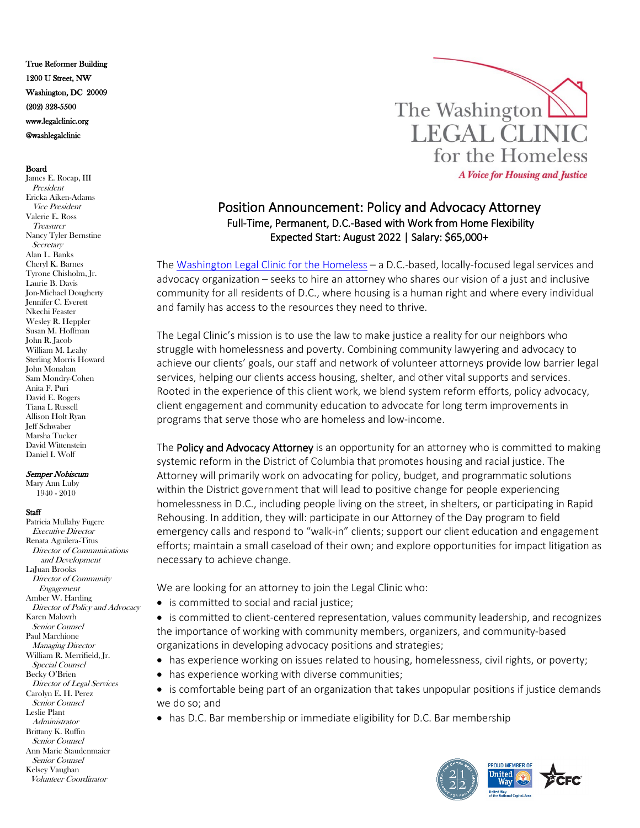True Reformer Building 1200 U Street, NW Washington, DC 20009 (202) 328-5500 www.legalclinic.org @washlegalclinic

## Board

James E. Rocap, III President Ericka Aiken-Adams Vice President Valerie E. Ross **Treasurer** Nancy Tyler Bernstine **Secretary** Alan L. Banks Cheryl K. Barnes Tyrone Chisholm, Jr. Laurie B. Davis Jon-Michael Dougherty Jennifer C. Everett Nkechi Feaster Wesley R. Heppler Susan M. Hoffman John R. Jacob William M. Leahy Sterling Morris Howard John Monahan Sam Mondry-Cohen Anita F. Puri David E. Rogers Tiana L Russell Allison Holt Ryan Jeff Schwaber Marsha Tucker David Wittenstein Daniel I. Wolf

## Semper Nobiscum

Mary Ann Luby 1940 - 2010

## **Staff**

Patricia Mullahy Fugere Executive Director Renata Aguilera-Titus Director of Communications and Development LaJuan Brooks Director of Community Engagement Amber W. Harding Director of Policy and Advocacy Karen Malovrh Senior Counsel Paul Marchione Managing Director William R. Merrifield, Jr. Special Counsel Becky O'Brien Director of Legal Services Carolyn E. H. Perez Senior Counsel Leslie Plant Administrator Brittany K. Ruffin Senior Counsel Ann Marie Staudenmaier Senior Counsel Kelsey Vaughan Volunteer Coordinator



## Position Announcement: Policy and Advocacy Attorney Full-Time, Permanent, D.C.-Based with Work from Home Flexibility Expected Start: August 2022 | Salary: \$65,000+

The [Washington Legal Clinic for the Homeless](http://www.legalclinic.org/) – a D.C.-based, locally-focused legal services and advocacy organization – seeks to hire an attorney who shares our vision of a just and inclusive community for all residents of D.C., where housing is a human right and where every individual and family has access to the resources they need to thrive.

The Legal Clinic's mission is to use the law to make justice a reality for our neighbors who struggle with homelessness and poverty. Combining community lawyering and advocacy to achieve our clients' goals, our staff and network of volunteer attorneys provide low barrier legal services, helping our clients access housing, shelter, and other vital supports and services. Rooted in the experience of this client work, we blend system reform efforts, policy advocacy, client engagement and community education to advocate for long term improvements in programs that serve those who are homeless and low-income.

The Policy and Advocacy Attorney is an opportunity for an attorney who is committed to making systemic reform in the District of Columbia that promotes housing and racial justice. The Attorney will primarily work on advocating for policy, budget, and programmatic solutions within the District government that will lead to positive change for people experiencing homelessness in D.C., including people living on the street, in shelters, or participating in Rapid Rehousing. In addition, they will: participate in our Attorney of the Day program to field emergency calls and respond to "walk-in" clients; support our client education and engagement efforts; maintain a small caseload of their own; and explore opportunities for impact litigation as necessary to achieve change.

We are looking for an attorney to join the Legal Clinic who:

• is committed to social and racial justice;

• is committed to client-centered representation, values community leadership, and recognizes the importance of working with community members, organizers, and community-based organizations in developing advocacy positions and strategies;

- has experience working on issues related to housing, homelessness, civil rights, or poverty;
- has experience working with diverse communities;

• is comfortable being part of an organization that takes unpopular positions if justice demands we do so; and

• has D.C. Bar membership or immediate eligibility for D.C. Bar membership